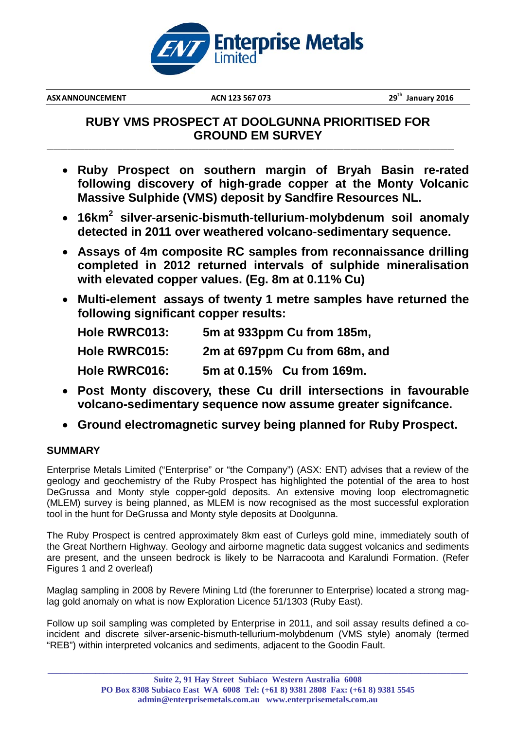

**ASX ANNOUNCEMENT ACN 123** 567 073

**th January 2016**

## **RUBY VMS PROSPECT AT DOOLGUNNA PRIORITISED FOR GROUND EM SURVEY**

\_\_\_\_\_\_\_\_\_\_\_\_\_\_\_\_\_\_\_\_\_\_\_\_\_\_\_\_\_\_\_\_\_\_\_\_\_\_\_\_\_\_\_\_\_\_\_\_\_\_\_\_\_\_\_\_\_\_\_\_\_\_\_\_\_\_\_\_\_\_\_\_\_\_\_\_\_\_\_\_\_\_\_\_\_\_\_\_\_\_\_\_\_\_\_\_\_\_\_\_\_\_\_\_\_\_\_\_\_\_\_\_\_\_\_\_\_\_

- **Ruby Prospect on southern margin of Bryah Basin re-rated following discovery of high-grade copper at the Monty Volcanic Massive Sulphide (VMS) deposit by Sandfire Resources NL.**
- **16km<sup>2</sup> silver-arsenic-bismuth-tellurium-molybdenum soil anomaly detected in 2011 over weathered volcano-sedimentary sequence.**
- **Assays of 4m composite RC samples from reconnaissance drilling completed in 2012 returned intervals of sulphide mineralisation with elevated copper values. (Eg. 8m at 0.11% Cu)**
- **Multi-element assays of twenty 1 metre samples have returned the following significant copper results:**

| <b>Hole RWRC013:</b> | 5m at 933ppm Cu from 185m,    |
|----------------------|-------------------------------|
| <b>Hole RWRC015:</b> | 2m at 697ppm Cu from 68m, and |
| <b>Hole RWRC016:</b> | 5m at 0.15% Cu from 169m.     |

- **Post Monty discovery, these Cu drill intersections in favourable volcano-sedimentary sequence now assume greater signifcance.**
- **Ground electromagnetic survey being planned for Ruby Prospect.**

### **SUMMARY**

Enterprise Metals Limited ("Enterprise" or "the Company") (ASX: ENT) advises that a review of the geology and geochemistry of the Ruby Prospect has highlighted the potential of the area to host DeGrussa and Monty style copper-gold deposits. An extensive moving loop electromagnetic (MLEM) survey is being planned, as MLEM is now recognised as the most successful exploration tool in the hunt for DeGrussa and Monty style deposits at Doolgunna.

The Ruby Prospect is centred approximately 8km east of Curleys gold mine, immediately south of the Great Northern Highway. Geology and airborne magnetic data suggest volcanics and sediments are present, and the unseen bedrock is likely to be Narracoota and Karalundi Formation. (Refer Figures 1 and 2 overleaf)

Maglag sampling in 2008 by Revere Mining Ltd (the forerunner to Enterprise) located a strong maglag gold anomaly on what is now Exploration Licence 51/1303 (Ruby East).

Follow up soil sampling was completed by Enterprise in 2011, and soil assay results defined a coincident and discrete silver-arsenic-bismuth-tellurium-molybdenum (VMS style) anomaly (termed "REB") within interpreted volcanics and sediments, adjacent to the Goodin Fault.

**\_\_\_\_\_\_\_\_\_\_\_\_\_\_\_\_\_\_\_\_\_\_\_\_\_\_\_\_\_\_\_\_\_\_\_\_\_\_\_\_\_\_\_\_\_\_\_\_\_\_\_\_\_\_\_\_\_\_\_\_\_\_\_\_\_\_\_\_\_\_\_\_\_\_\_\_\_\_\_\_\_\_\_\_\_\_\_\_\_\_\_\_\_\_\_\_\_**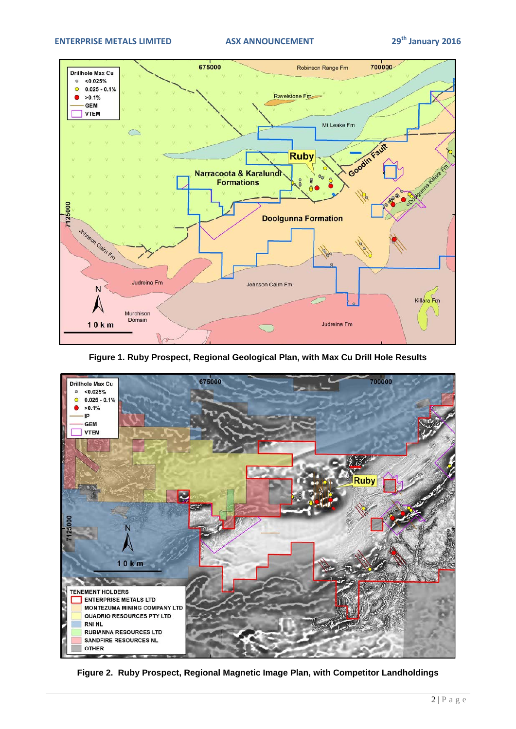

**Figure 1. Ruby Prospect, Regional Geological Plan, with Max Cu Drill Hole Results**



**Figure 2. Ruby Prospect, Regional Magnetic Image Plan, with Competitor Landholdings**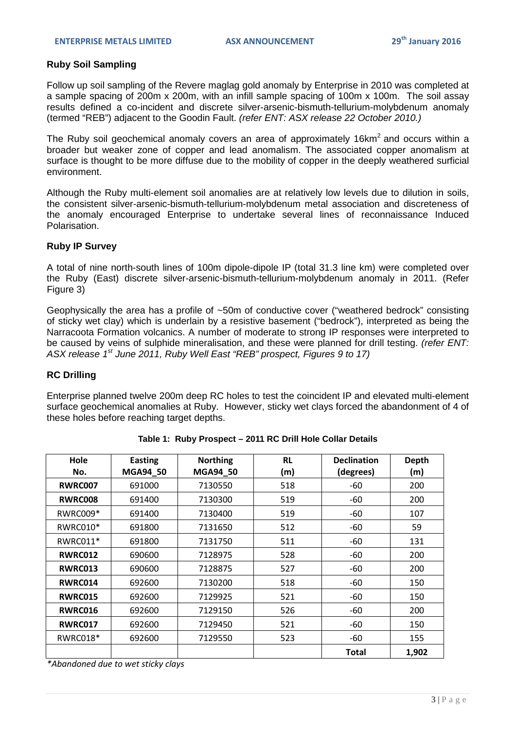### **Ruby Soil Sampling**

Follow up soil sampling of the Revere maglag gold anomaly by Enterprise in 2010 was completed at a sample spacing of 200m x 200m, with an infill sample spacing of 100m x 100m. The soil assay results defined a co-incident and discrete silver-arsenic-bismuth-tellurium-molybdenum anomaly (termed "REB") adjacent to the Goodin Fault. *(refer ENT: ASX release 22 October 2010.)* 

The Ruby soil geochemical anomaly covers an area of approximately  $16km^2$  and occurs within a broader but weaker zone of copper and lead anomalism. The associated copper anomalism at surface is thought to be more diffuse due to the mobility of copper in the deeply weathered surficial environment.

Although the Ruby multi-element soil anomalies are at relatively low levels due to dilution in soils, the consistent silver-arsenic-bismuth-tellurium-molybdenum metal association and discreteness of the anomaly encouraged Enterprise to undertake several lines of reconnaissance Induced Polarisation.

### **Ruby IP Survey**

A total of nine north-south lines of 100m dipole-dipole IP (total 31.3 line km) were completed over the Ruby (East) discrete silver-arsenic-bismuth-tellurium-molybdenum anomaly in 2011. (Refer Figure 3)

Geophysically the area has a profile of ~50m of conductive cover ("weathered bedrock" consisting of sticky wet clay) which is underlain by a resistive basement ("bedrock"), interpreted as being the Narracoota Formation volcanics. A number of moderate to strong IP responses were interpreted to be caused by veins of sulphide mineralisation, and these were planned for drill testing. *(refer ENT: ASX release 1st June 2011, Ruby Well East "REB" prospect, Figures 9 to 17)*

### **RC Drilling**

Enterprise planned twelve 200m deep RC holes to test the coincident IP and elevated multi-element surface geochemical anomalies at Ruby. However, sticky wet clays forced the abandonment of 4 of these holes before reaching target depths.

| Hole<br>No.    | <b>Easting</b><br>MGA94_50 | <b>Northing</b><br>MGA94_50 | <b>RL</b><br>(m) | <b>Declination</b><br>(degrees) | <b>Depth</b><br>(m) |
|----------------|----------------------------|-----------------------------|------------------|---------------------------------|---------------------|
| <b>RWRC007</b> | 691000                     | 7130550                     | 518              | -60                             | 200                 |
| <b>RWRC008</b> | 691400                     | 7130300                     | 519              | -60                             | 200                 |
| RWRC009*       | 691400                     | 7130400                     | 519              | -60                             | 107                 |
| RWRC010*       | 691800                     | 7131650                     | 512              | -60                             | 59                  |
| RWRC011*       | 691800                     | 7131750                     | 511              | -60                             | 131                 |
| <b>RWRC012</b> | 690600                     | 7128975                     | 528              | -60                             | 200                 |
| <b>RWRC013</b> | 690600                     | 7128875                     | 527              | -60                             | 200                 |
| <b>RWRC014</b> | 692600                     | 7130200                     | 518              | -60                             | 150                 |
| <b>RWRC015</b> | 692600                     | 7129925                     | 521              | -60                             | 150                 |
| <b>RWRC016</b> | 692600                     | 7129150                     | 526              | -60                             | 200                 |
| <b>RWRC017</b> | 692600                     | 7129450                     | 521              | -60                             | 150                 |
| RWRC018*       | 692600                     | 7129550                     | 523              | $-60$                           | 155                 |
|                |                            |                             |                  | <b>Total</b>                    | 1,902               |

**Table 1: Ruby Prospect – 2011 RC Drill Hole Collar Details**

*\*Abandoned due to wet sticky clays*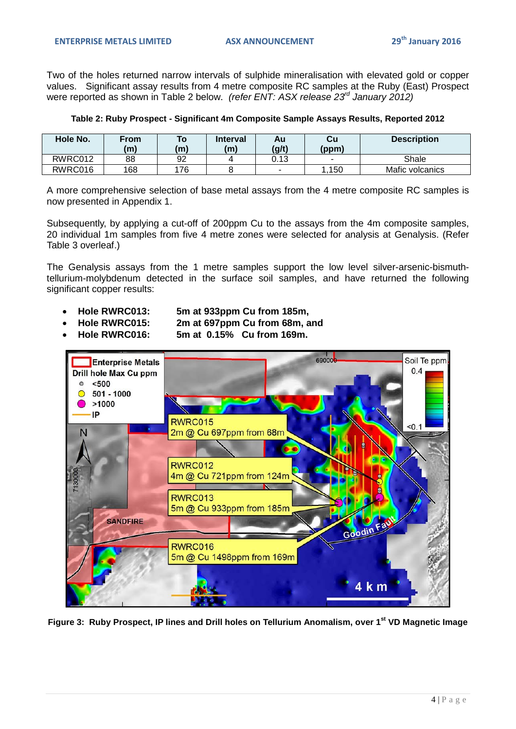Two of the holes returned narrow intervals of sulphide mineralisation with elevated gold or copper values. Significant assay results from 4 metre composite RC samples at the Ruby (East) Prospect were reported as shown in Table 2 below. *(refer ENT: ASX release 23rd January 2012)*

| Table 2: Ruby Prospect - Significant 4m Composite Sample Assays Results, Reported 2012 |  |  |
|----------------------------------------------------------------------------------------|--|--|
|                                                                                        |  |  |

| Hole No. | From<br>(m) | To<br>(m) | <b>Interval</b><br>(m) | Au<br>(g/t) | Cu<br>(ppm) | <b>Description</b> |
|----------|-------------|-----------|------------------------|-------------|-------------|--------------------|
| RWRC012  | 88          | 92        |                        | 0.13        |             | Shale              |
| RWRC016  | 168         | 176       |                        | -           | .150        | Mafic volcanics    |

A more comprehensive selection of base metal assays from the 4 metre composite RC samples is now presented in Appendix 1.

Subsequently, by applying a cut-off of 200ppm Cu to the assays from the 4m composite samples, 20 individual 1m samples from five 4 metre zones were selected for analysis at Genalysis. (Refer Table 3 overleaf.)

The Genalysis assays from the 1 metre samples support the low level silver-arsenic-bismuthtellurium-molybdenum detected in the surface soil samples, and have returned the following significant copper results:

- - **Hole RWRC013: 5m at 933ppm Cu from 185m,** • **Hole RWRC015: 2m at 697ppm Cu from 68m, and**
- - **Hole RWRC016: 5m at 0.15% Cu from 169m.**



**Figure 3: Ruby Prospect, IP lines and Drill holes on Tellurium Anomalism, over 1st VD Magnetic Image**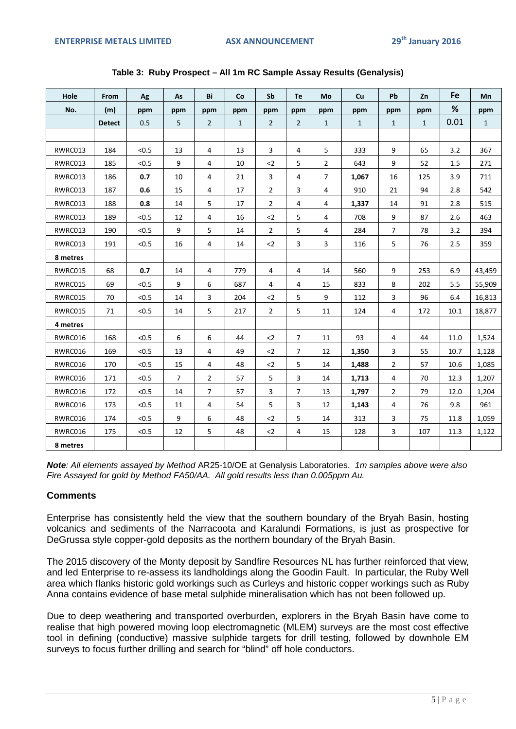| Hole     | <b>From</b>   | Ag    | As             | Bi             | Co           | Sb             | Тe             | Mo             | Cu           | Pb             | Zn           | Fe   | Mn           |
|----------|---------------|-------|----------------|----------------|--------------|----------------|----------------|----------------|--------------|----------------|--------------|------|--------------|
| No.      | (m)           | ppm   | ppm            | ppm            | ppm          | ppm            | ppm            | ppm            | ppm          | ppm            | ppm          | %    | ppm          |
|          | <b>Detect</b> | 0.5   | 5              | $\overline{2}$ | $\mathbf{1}$ | $\overline{2}$ | $\overline{2}$ | $\mathbf{1}$   | $\mathbf{1}$ | $\mathbf{1}$   | $\mathbf{1}$ | 0.01 | $\mathbf{1}$ |
|          |               |       |                |                |              |                |                |                |              |                |              |      |              |
| RWRC013  | 184           | < 0.5 | 13             | 4              | 13           | 3              | 4              | 5              | 333          | 9              | 65           | 3.2  | 367          |
| RWRC013  | 185           | < 0.5 | 9              | 4              | 10           | $2$            | 5              | 2              | 643          | 9              | 52           | 1.5  | 271          |
| RWRC013  | 186           | 0.7   | 10             | 4              | 21           | $\overline{3}$ | $\overline{4}$ | $\overline{7}$ | 1,067        | 16             | 125          | 3.9  | 711          |
| RWRC013  | 187           | 0.6   | 15             | 4              | 17           | $\overline{2}$ | 3              | $\overline{4}$ | 910          | 21             | 94           | 2.8  | 542          |
| RWRC013  | 188           | 0.8   | 14             | 5              | 17           | $\overline{2}$ | 4              | 4              | 1,337        | 14             | 91           | 2.8  | 515          |
| RWRC013  | 189           | < 0.5 | 12             | 4              | 16           | $2$            | 5              | $\overline{4}$ | 708          | 9              | 87           | 2.6  | 463          |
| RWRC013  | 190           | < 0.5 | 9              | 5              | 14           | $\overline{2}$ | 5              | $\overline{4}$ | 284          | $\overline{7}$ | 78           | 3.2  | 394          |
| RWRC013  | 191           | < 0.5 | 16             | 4              | 14           | $2$            | 3              | 3              | 116          | 5              | 76           | 2.5  | 359          |
| 8 metres |               |       |                |                |              |                |                |                |              |                |              |      |              |
| RWRC015  | 68            | 0.7   | 14             | 4              | 779          | 4              | 4              | 14             | 560          | 9              | 253          | 6.9  | 43,459       |
| RWRC015  | 69            | < 0.5 | 9              | 6              | 687          | $\overline{4}$ | 4              | 15             | 833          | 8              | 202          | 5.5  | 55,909       |
| RWRC015  | 70            | < 0.5 | 14             | 3              | 204          | $2$            | 5              | 9              | 112          | 3              | 96           | 6.4  | 16,813       |
| RWRC015  | 71            | < 0.5 | 14             | 5              | 217          | $\overline{2}$ | 5              | 11             | 124          | $\overline{4}$ | 172          | 10.1 | 18,877       |
| 4 metres |               |       |                |                |              |                |                |                |              |                |              |      |              |
| RWRC016  | 168           | < 0.5 | 6              | 6              | 44           | $2$            | $\overline{7}$ | 11             | 93           | $\overline{4}$ | 44           | 11.0 | 1,524        |
| RWRC016  | 169           | < 0.5 | 13             | 4              | 49           | $2$            | $\overline{7}$ | 12             | 1,350        | 3              | 55           | 10.7 | 1,128        |
| RWRC016  | 170           | < 0.5 | 15             | $\overline{4}$ | 48           | $2$            | 5              | 14             | 1,488        | $\overline{2}$ | 57           | 10.6 | 1,085        |
| RWRC016  | 171           | < 0.5 | $\overline{7}$ | $\overline{2}$ | 57           | 5              | 3              | 14             | 1,713        | $\overline{4}$ | 70           | 12.3 | 1,207        |
| RWRC016  | 172           | < 0.5 | 14             | $\overline{7}$ | 57           | 3              | $\overline{7}$ | 13             | 1,797        | $\overline{2}$ | 79           | 12.0 | 1,204        |
| RWRC016  | 173           | < 0.5 | 11             | 4              | 54           | 5              | 3              | 12             | 1,143        | 4              | 76           | 9.8  | 961          |
| RWRC016  | 174           | < 0.5 | 9              | 6              | 48           | $2$            | 5              | 14             | 313          | 3              | 75           | 11.8 | 1,059        |
| RWRC016  | 175           | < 0.5 | 12             | 5              | 48           | $2$            | $\overline{4}$ | 15             | 128          | 3              | 107          | 11.3 | 1,122        |
| 8 metres |               |       |                |                |              |                |                |                |              |                |              |      |              |

### **Table 3: Ruby Prospect – All 1m RC Sample Assay Results (Genalysis)**

*Note: All elements assayed by Method* AR25-10/OE at Genalysis Laboratories.*1m samples above were also Fire Assayed for gold by Method FA50/AA. All gold results less than 0.005ppm Au.*

### **Comments**

Enterprise has consistently held the view that the southern boundary of the Bryah Basin, hosting volcanics and sediments of the Narracoota and Karalundi Formations, is just as prospective for DeGrussa style copper-gold deposits as the northern boundary of the Bryah Basin.

The 2015 discovery of the Monty deposit by Sandfire Resources NL has further reinforced that view, and led Enterprise to re-assess its landholdings along the Goodin Fault. In particular, the Ruby Well area which flanks historic gold workings such as Curleys and historic copper workings such as Ruby Anna contains evidence of base metal sulphide mineralisation which has not been followed up.

Due to deep weathering and transported overburden, explorers in the Bryah Basin have come to realise that high powered moving loop electromagnetic (MLEM) surveys are the most cost effective tool in defining (conductive) massive sulphide targets for drill testing, followed by downhole EM surveys to focus further drilling and search for "blind" off hole conductors.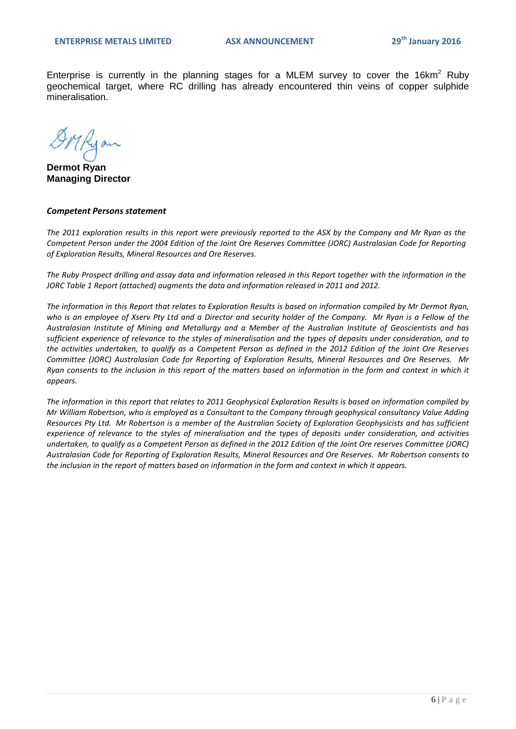Enterprise is currently in the planning stages for a MLEM survey to cover the 16 $km^2$  Ruby geochemical target, where RC drilling has already encountered thin veins of copper sulphide mineralisation.

**Dermot Ryan Managing Director**

### *Competent Persons statement*

*The 2011 exploration results in this report were previously reported to the ASX by the Company and Mr Ryan as the Competent Person under the 2004 Edition of the Joint Ore Reserves Committee (JORC) Australasian Code for Reporting of Exploration Results, Mineral Resources and Ore Reserves.* 

*The Ruby Prospect drilling and assay data and information released in this Report together with the information in the JORC Table 1 Report (attached) augments the data and information released in 2011 and 2012.* 

*The information in this Report that relates to Exploration Results is based on information compiled by Mr Dermot Ryan, who is an employee of Xserv Pty Ltd and a Director and security holder of the Company. Mr Ryan is a Fellow of the Australasian Institute of Mining and Metallurgy and a Member of the Australian Institute of Geoscientists and has sufficient experience of relevance to the styles of mineralisation and the types of deposits under consideration, and to the activities undertaken, to qualify as a Competent Person as defined in the 2012 Edition of the Joint Ore Reserves Committee (JORC) Australasian Code for Reporting of Exploration Results, Mineral Resources and Ore Reserves. Mr Ryan consents to the inclusion in this report of the matters based on information in the form and context in which it appears.*

*The information in this report that relates to 2011 Geophysical Exploration Results is based on information compiled by Mr William Robertson, who is employed as a Consultant to the Company through geophysical consultancy Value Adding Resources Pty Ltd. Mr Robertson is a member of the Australian Society of Exploration Geophysicists and has sufficient experience of relevance to the styles of mineralisation and the types of deposits under consideration, and activities undertaken, to qualify as a Competent Person as defined in the 2012 Edition of the Joint Ore reserves Committee (JORC) Australasian Code for Reporting of Exploration Results, Mineral Resources and Ore Reserves. Mr Robertson consents to the inclusion in the report of matters based on information in the form and context in which it appears.*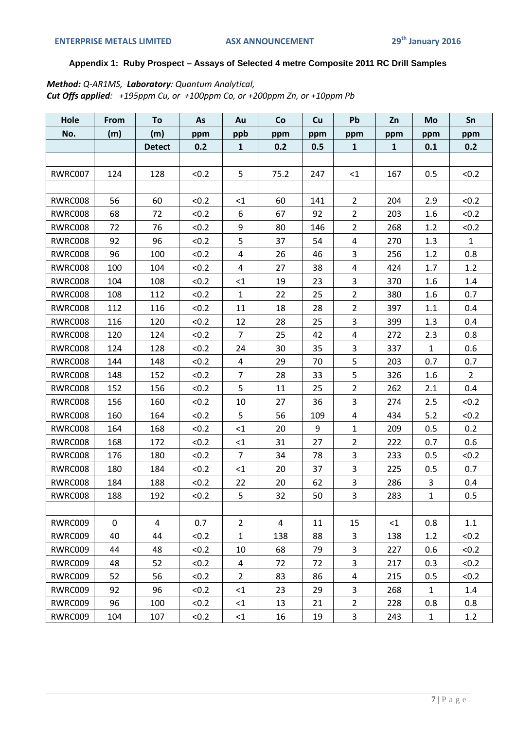### **Appendix 1: Ruby Prospect – Assays of Selected 4 metre Composite 2011 RC Drill Samples**

*Method: Q-AR1MS, Laboratory: Quantum Analytical, Cut Offs applied: +195ppm Cu, or +100ppm Co, or +200ppm Zn, or +10ppm Pb*

| Hole    | From        | To            | As    | Au             | Co   | Cu  | Pb             | Zn           | Mo           | Sn           |
|---------|-------------|---------------|-------|----------------|------|-----|----------------|--------------|--------------|--------------|
| No.     | (m)         | (m)           | ppm   | ppb            | ppm  | ppm | ppm            | ppm          | ppm          | ppm          |
|         |             | <b>Detect</b> | 0.2   | $\mathbf{1}$   | 0.2  | 0.5 | $\mathbf 1$    | $\mathbf{1}$ | 0.1          | 0.2          |
|         |             |               |       |                |      |     |                |              |              |              |
| RWRC007 | 124         | 128           | < 0.2 | 5              | 75.2 | 247 | $\leq$ 1       | 167          | 0.5          | < 0.2        |
|         |             |               |       |                |      |     |                |              |              |              |
| RWRC008 | 56          | 60            | < 0.2 | <1             | 60   | 141 | $\overline{2}$ | 204          | 2.9          | < 0.2        |
| RWRC008 | 68          | 72            | < 0.2 | 6              | 67   | 92  | $\overline{2}$ | 203          | 1.6          | < 0.2        |
| RWRC008 | 72          | 76            | < 0.2 | 9              | 80   | 146 | $\overline{2}$ | 268          | 1.2          | < 0.2        |
| RWRC008 | 92          | 96            | < 0.2 | 5              | 37   | 54  | $\overline{4}$ | 270          | 1.3          | $\mathbf{1}$ |
| RWRC008 | 96          | 100           | < 0.2 | 4              | 26   | 46  | $\mathbf{3}$   | 256          | 1.2          | 0.8          |
| RWRC008 | 100         | 104           | < 0.2 | 4              | 27   | 38  | $\overline{4}$ | 424          | 1.7          | 1.2          |
| RWRC008 | 104         | 108           | < 0.2 | $<$ 1          | 19   | 23  | 3              | 370          | $1.6\,$      | 1.4          |
| RWRC008 | 108         | 112           | < 0.2 | $\mathbf{1}$   | 22   | 25  | $\overline{2}$ | 380          | 1.6          | 0.7          |
| RWRC008 | 112         | 116           | < 0.2 | 11             | 18   | 28  | $\overline{2}$ | 397          | 1.1          | 0.4          |
| RWRC008 | 116         | 120           | < 0.2 | 12             | 28   | 25  | $\overline{3}$ | 399          | 1.3          | 0.4          |
| RWRC008 | 120         | 124           | < 0.2 | $\overline{7}$ | 25   | 42  | $\overline{4}$ | 272          | 2.3          | 0.8          |
| RWRC008 | 124         | 128           | < 0.2 | 24             | 30   | 35  | 3              | 337          | $\mathbf{1}$ | 0.6          |
| RWRC008 | 144         | 148           | < 0.2 | $\overline{a}$ | 29   | 70  | 5              | 203          | 0.7          | 0.7          |
| RWRC008 | 148         | 152           | < 0.2 | $\overline{7}$ | 28   | 33  | 5              | 326          | 1.6          | $2^{\circ}$  |
| RWRC008 | 152         | 156           | < 0.2 | 5              | 11   | 25  | $\overline{2}$ | 262          | 2.1          | 0.4          |
| RWRC008 | 156         | 160           | < 0.2 | 10             | 27   | 36  | 3              | 274          | 2.5          | < 0.2        |
| RWRC008 | 160         | 164           | < 0.2 | 5              | 56   | 109 | $\overline{4}$ | 434          | 5.2          | < 0.2        |
| RWRC008 | 164         | 168           | < 0.2 | <1             | 20   | 9   | $\mathbf{1}$   | 209          | 0.5          | 0.2          |
| RWRC008 | 168         | 172           | < 0.2 | $\leq$ 1       | 31   | 27  | $\overline{2}$ | 222          | 0.7          | 0.6          |
| RWRC008 | 176         | 180           | < 0.2 | $\overline{7}$ | 34   | 78  | 3              | 233          | 0.5          | < 0.2        |
| RWRC008 | 180         | 184           | < 0.2 | $<$ 1          | 20   | 37  | 3              | 225          | 0.5          | 0.7          |
| RWRC008 | 184         | 188           | < 0.2 | 22             | 20   | 62  | 3              | 286          | 3            | 0.4          |
| RWRC008 | 188         | 192           | < 0.2 | 5              | 32   | 50  | $\overline{3}$ | 283          | $\mathbf 1$  | 0.5          |
|         |             |               |       |                |      |     |                |              |              |              |
| RWRC009 | $\mathbf 0$ | 4             | 0.7   | $\overline{2}$ | 4    | 11  | 15             | <1           | 0.8          | 1.1          |
| RWRC009 | 40          | 44            | < 0.2 | $\mathbf{1}$   | 138  | 88  | 3              | 138          | 1.2          | < 0.2        |
| RWRC009 | 44          | 48            | < 0.2 | 10             | 68   | 79  | 3              | 227          | 0.6          | < 0.2        |
| RWRC009 | 48          | 52            | < 0.2 | 4              | 72   | 72  | 3              | 217          | 0.3          | < 0.2        |
| RWRC009 | 52          | 56            | < 0.2 | $\overline{2}$ | 83   | 86  | $\overline{a}$ | 215          | 0.5          | < 0.2        |
| RWRC009 | 92          | 96            | < 0.2 | $<$ 1          | 23   | 29  | 3              | 268          | $\mathbf{1}$ | 1.4          |
| RWRC009 | 96          | 100           | < 0.2 | $\leq$ 1       | 13   | 21  | $\overline{2}$ | 228          | $0.8\,$      | 0.8          |
| RWRC009 | 104         | 107           | < 0.2 | $\leq$ 1       | 16   | 19  | 3              | 243          | $\mathbf{1}$ | 1.2          |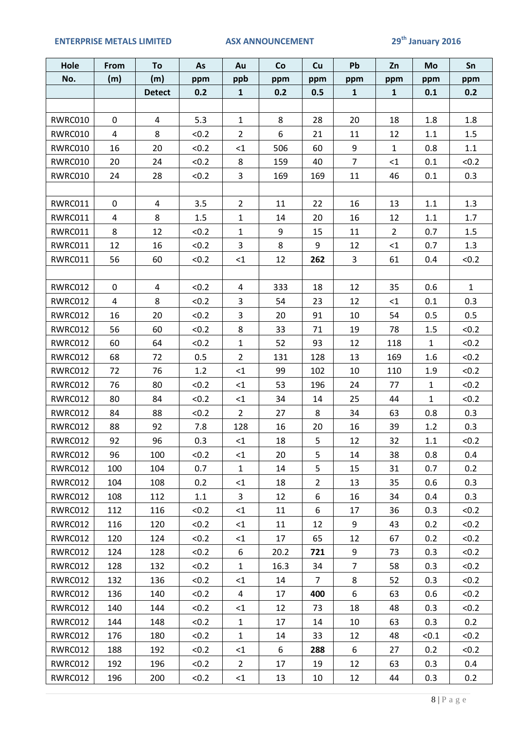### **ENTERPRISE METALS LIMITED ASX ANNOUNCEMENT 29th January 2016**

| Hole    | From        | To            | As    | Au             | Co   | Cu             | Pb             | Zn           | Mo           | Sn           |
|---------|-------------|---------------|-------|----------------|------|----------------|----------------|--------------|--------------|--------------|
| No.     | (m)         | (m)           | ppm   | ppb            | ppm  | ppm            | ppm            | ppm          | ppm          | ppm          |
|         |             | <b>Detect</b> | 0.2   | $\mathbf{1}$   | 0.2  | 0.5            | $\mathbf{1}$   | $\mathbf{1}$ | 0.1          | 0.2          |
|         |             |               |       |                |      |                |                |              |              |              |
| RWRC010 | $\mathbf 0$ | 4             | 5.3   | $\mathbf{1}$   | 8    | 28             | 20             | 18           | 1.8          | 1.8          |
| RWRC010 | 4           | 8             | < 0.2 | $\overline{2}$ | 6    | 21             | 11             | 12           | 1.1          | 1.5          |
| RWRC010 | 16          | 20            | < 0.2 | ${<}1$         | 506  | 60             | 9              | $\mathbf{1}$ | 0.8          | 1.1          |
| RWRC010 | 20          | 24            | < 0.2 | 8              | 159  | 40             | $\overline{7}$ | $\leq$ 1     | 0.1          | < 0.2        |
| RWRC010 | 24          | 28            | < 0.2 | 3              | 169  | 169            | 11             | 46           | 0.1          | 0.3          |
|         |             |               |       |                |      |                |                |              |              |              |
| RWRC011 | $\mathbf 0$ | 4             | 3.5   | $\overline{2}$ | 11   | 22             | 16             | 13           | 1.1          | 1.3          |
| RWRC011 | 4           | 8             | 1.5   | $\mathbf 1$    | 14   | 20             | 16             | 12           | $1.1\,$      | 1.7          |
| RWRC011 | 8           | 12            | < 0.2 | $\mathbf{1}$   | 9    | 15             | 11             | $2^{\circ}$  | 0.7          | 1.5          |
| RWRC011 | 12          | 16            | < 0.2 | 3              | 8    | 9              | 12             | $<1\,$       | 0.7          | 1.3          |
| RWRC011 | 56          | 60            | < 0.2 | ${<}1$         | 12   | 262            | $\mathbf{3}$   | 61           | 0.4          | < 0.2        |
|         |             |               |       |                |      |                |                |              |              |              |
| RWRC012 | $\pmb{0}$   | 4             | < 0.2 | $\overline{a}$ | 333  | 18             | 12             | 35           | 0.6          | $\mathbf{1}$ |
| RWRC012 | 4           | 8             | < 0.2 | 3              | 54   | 23             | 12             | $\leq$ 1     | 0.1          | 0.3          |
| RWRC012 | 16          | 20            | < 0.2 | 3              | 20   | 91             | 10             | 54           | 0.5          | 0.5          |
| RWRC012 | 56          | 60            | < 0.2 | 8              | 33   | 71             | 19             | 78           | $1.5\,$      | < 0.2        |
| RWRC012 | 60          | 64            | < 0.2 | $\mathbf{1}$   | 52   | 93             | 12             | 118          | $\mathbf{1}$ | < 0.2        |
| RWRC012 | 68          | 72            | 0.5   | $\overline{2}$ | 131  | 128            | 13             | 169          | 1.6          | < 0.2        |
| RWRC012 | 72          | 76            | 1.2   | <1             | 99   | 102            | 10             | 110          | 1.9          | < 0.2        |
| RWRC012 | 76          | 80            | < 0.2 | $\leq 1$       | 53   | 196            | 24             | 77           | $\mathbf{1}$ | < 0.2        |
| RWRC012 | 80          | 84            | < 0.2 | $\leq 1$       | 34   | 14             | 25             | 44           | $\mathbf{1}$ | < 0.2        |
| RWRC012 | 84          | 88            | < 0.2 | $\overline{2}$ | 27   | 8              | 34             | 63           | 0.8          | 0.3          |
| RWRC012 | 88          | 92            | 7.8   | 128            | 16   | 20             | 16             | 39           | 1.2          | 0.3          |
| RWRC012 | 92          | 96            | 0.3   | ${<}1$         | 18   | 5              | 12             | 32           | $1.1\,$      | < 0.2        |
| RWRC012 | 96          | 100           | < 0.2 | $<$ 1          | 20   | 5              | 14             | 38           | 0.8          | 0.4          |
| RWRC012 | 100         | 104           | 0.7   | $\mathbf{1}$   | 14   | 5              | 15             | 31           | 0.7          | 0.2          |
| RWRC012 | 104         | 108           | 0.2   | $\leq$ 1       | 18   | $\overline{2}$ | 13             | 35           | 0.6          | 0.3          |
| RWRC012 | 108         | 112           | 1.1   | 3              | 12   | 6              | 16             | 34           | 0.4          | 0.3          |
| RWRC012 | 112         | 116           | < 0.2 | $<$ 1          | 11   | 6              | 17             | 36           | 0.3          | < 0.2        |
| RWRC012 | 116         | 120           | < 0.2 | $<$ 1          | 11   | 12             | 9              | 43           | 0.2          | < 0.2        |
| RWRC012 | 120         | 124           | < 0.2 | $<$ 1          | 17   | 65             | 12             | 67           | 0.2          | < 0.2        |
| RWRC012 | 124         | 128           | < 0.2 | 6              | 20.2 | 721            | 9              | 73           | 0.3          | < 0.2        |
| RWRC012 | 128         | 132           | < 0.2 | $\mathbf{1}$   | 16.3 | 34             | $\overline{7}$ | 58           | 0.3          | < 0.2        |
| RWRC012 | 132         | 136           | < 0.2 | $\leq$ 1       | 14   | $\overline{7}$ | 8              | 52           | 0.3          | < 0.2        |
| RWRC012 | 136         | 140           | < 0.2 | $\overline{4}$ | 17   | 400            | 6              | 63           | 0.6          | < 0.2        |
| RWRC012 | 140         | 144           | < 0.2 | $<$ 1          | 12   | 73             | 18             | 48           | 0.3          | < 0.2        |
| RWRC012 | 144         | 148           | < 0.2 | $\mathbf{1}$   | 17   | 14             | 10             | 63           | 0.3          | 0.2          |
| RWRC012 | 176         | 180           | < 0.2 | $\mathbf{1}$   | 14   | 33             | 12             | 48           | < 0.1        | < 0.2        |
| RWRC012 | 188         | 192           | < 0.2 | $\leq$ 1       | 6    | 288            | 6              | 27           | 0.2          | < 0.2        |
| RWRC012 | 192         | 196           | < 0.2 | $\overline{2}$ | 17   | 19             | 12             | 63           | 0.3          | 0.4          |
| RWRC012 | 196         | 200           | < 0.2 | $\leq$ 1       | 13   | 10             | 12             | 44           | 0.3          | 0.2          |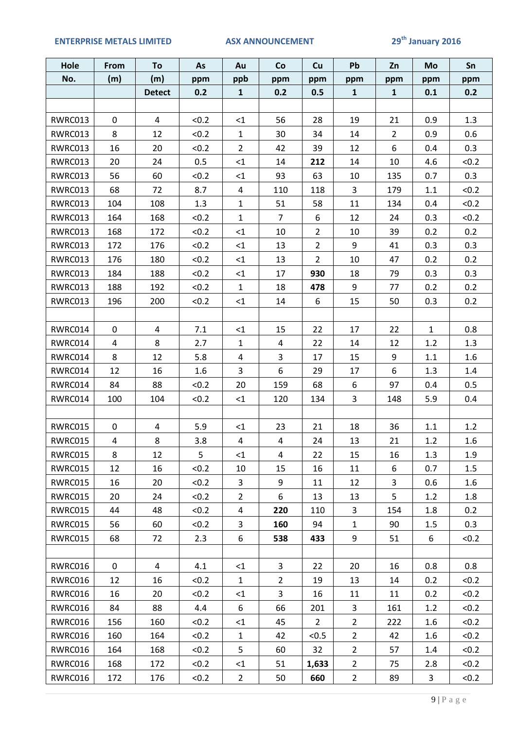### **ENTERPRISE METALS LIMITED ASX ANNOUNCEMENT 29th January 2016**

| Hole    | From        | To             | As    | Au                      | Co             | Cu             | Pb             | Zn             | Mo               | Sn      |
|---------|-------------|----------------|-------|-------------------------|----------------|----------------|----------------|----------------|------------------|---------|
| No.     | (m)         | (m)            | ppm   | ppb                     | ppm            | ppm            | ppm            | ppm            | ppm              | ppm     |
|         |             | <b>Detect</b>  | 0.2   | $\mathbf{1}$            | 0.2            | 0.5            | $\mathbf{1}$   | $\mathbf{1}$   | 0.1              | 0.2     |
|         |             |                |       |                         |                |                |                |                |                  |         |
| RWRC013 | $\mathbf 0$ | 4              | < 0.2 | <1                      | 56             | 28             | 19             | 21             | 0.9              | 1.3     |
| RWRC013 | 8           | 12             | < 0.2 | $\mathbf{1}$            | 30             | 34             | 14             | $\overline{2}$ | 0.9              | 0.6     |
| RWRC013 | 16          | 20             | < 0.2 | $\overline{2}$          | 42             | 39             | 12             | 6              | 0.4              | 0.3     |
| RWRC013 | 20          | 24             | 0.5   | <1                      | 14             | 212            | 14             | 10             | 4.6              | < 0.2   |
| RWRC013 | 56          | 60             | < 0.2 | $\leq$ 1                | 93             | 63             | 10             | 135            | 0.7              | 0.3     |
| RWRC013 | 68          | 72             | 8.7   | $\overline{a}$          | 110            | 118            | $\overline{3}$ | 179            | $1.1\,$          | < 0.2   |
| RWRC013 | 104         | 108            | 1.3   | $\mathbf{1}$            | 51             | 58             | 11             | 134            | 0.4              | < 0.2   |
| RWRC013 | 164         | 168            | < 0.2 | $\mathbf{1}$            | $\overline{7}$ | 6              | 12             | 24             | 0.3              | < 0.2   |
| RWRC013 | 168         | 172            | < 0.2 | <1                      | 10             | $\overline{2}$ | 10             | 39             | 0.2              | 0.2     |
| RWRC013 | 172         | 176            | < 0.2 | $\leq 1$                | 13             | $\overline{2}$ | 9              | 41             | 0.3              | 0.3     |
| RWRC013 | 176         | 180            | < 0.2 | $\leq 1$                | 13             | $\overline{2}$ | 10             | 47             | 0.2              | 0.2     |
| RWRC013 | 184         | 188            | < 0.2 | $\leq 1$                | 17             | 930            | 18             | 79             | 0.3              | 0.3     |
| RWRC013 | 188         | 192            | < 0.2 | $\mathbf{1}$            | 18             | 478            | 9              | 77             | 0.2              | 0.2     |
| RWRC013 | 196         | 200            | < 0.2 | $\leq 1$                | 14             | 6              | 15             | 50             | 0.3              | 0.2     |
|         |             |                |       |                         |                |                |                |                |                  |         |
| RWRC014 | $\mathbf 0$ | $\overline{4}$ | 7.1   | <1                      | 15             | 22             | 17             | 22             | $\mathbf{1}$     | 0.8     |
| RWRC014 | 4           | 8              | 2.7   | $\mathbf{1}$            | $\overline{4}$ | 22             | 14             | 12             | 1.2              | 1.3     |
| RWRC014 | 8           | 12             | 5.8   | $\overline{4}$          | $\overline{3}$ | 17             | 15             | 9              | 1.1              | 1.6     |
| RWRC014 | 12          | 16             | 1.6   | 3                       | $6\,$          | 29             | 17             | 6              | 1.3              | 1.4     |
| RWRC014 | 84          | 88             | < 0.2 | 20                      | 159            | 68             | 6              | 97             | 0.4              | 0.5     |
| RWRC014 | 100         | 104            | < 0.2 | $\leq$ 1                | 120            | 134            | 3              | 148            | 5.9              | 0.4     |
|         |             |                |       |                         |                |                |                |                |                  |         |
| RWRC015 | $\mathbf 0$ | 4              | 5.9   | <1                      | 23             | 21             | 18             | 36             | 1.1              | 1.2     |
| RWRC015 | 4           | 8              | 3.8   | $\overline{\mathbf{4}}$ | $\overline{4}$ | 24             | 13             | 21             | 1.2              | 1.6     |
| RWRC015 | 8           | 12             | 5     | $<$ 1                   | $\overline{4}$ | 22             | 15             | 16             | 1.3              | 1.9     |
| RWRC015 | 12          | 16             | < 0.2 | 10                      | 15             | 16             | 11             | 6              | 0.7              | 1.5     |
| RWRC015 | 16          | 20             | < 0.2 | 3                       | 9              | 11             | 12             | 3              | 0.6              | $1.6\,$ |
| RWRC015 | 20          | 24             | < 0.2 | $\overline{2}$          | 6              | 13             | 13             | 5              | 1.2              | 1.8     |
| RWRC015 | 44          | 48             | < 0.2 | 4                       | 220            | 110            | 3              | 154            | 1.8              | 0.2     |
| RWRC015 | 56          | 60             | < 0.2 | 3                       | 160            | 94             | $\mathbf{1}$   | 90             | 1.5              | 0.3     |
| RWRC015 | 68          | 72             | 2.3   | 6                       | 538            | 433            | 9              | 51             | 6                | < 0.2   |
|         |             |                |       |                         |                |                |                |                |                  |         |
| RWRC016 | 0           | 4              | 4.1   | $\leq$ 1                | 3              | 22             | 20             | 16             | 0.8              | 0.8     |
| RWRC016 | 12          | 16             | < 0.2 | $\mathbf{1}$            | $\overline{2}$ | 19             | 13             | 14             | 0.2              | < 0.2   |
| RWRC016 | 16          | 20             | < 0.2 | <1                      | $\overline{3}$ | 16             | 11             | 11             | 0.2              | < 0.2   |
| RWRC016 | 84          | 88             | 4.4   | 6                       | 66             | 201            | 3              | 161            | 1.2              | < 0.2   |
| RWRC016 | 156         | 160            | < 0.2 | $\leq$ 1                | 45             | $\overline{2}$ | $\overline{2}$ | 222            | 1.6              | < 0.2   |
| RWRC016 | 160         | 164            | < 0.2 | $\mathbf{1}$            | 42             | < 0.5          | $\overline{2}$ | 42             | $1.6\phantom{0}$ | < 0.2   |
| RWRC016 | 164         | 168            | < 0.2 | 5                       | 60             | 32             | $\overline{2}$ | 57             | 1.4              | < 0.2   |
| RWRC016 | 168         | 172            | < 0.2 | $\leq$ 1                | 51             | 1,633          | $2^{\circ}$    | 75             | 2.8              | < 0.2   |
| RWRC016 | 172         | 176            | < 0.2 | $\overline{2}$          | 50             | 660            | $2^{\circ}$    | 89             | 3                | < 0.2   |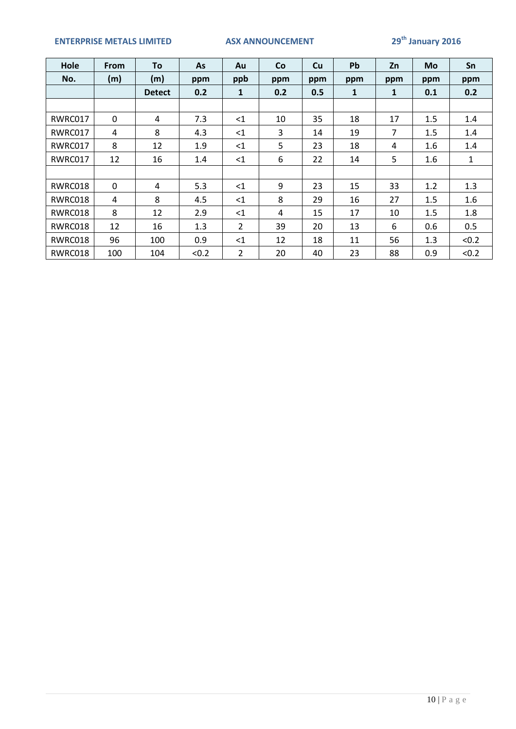## **ENTERPRISE METALS LIMITED ASX ANNOUNCEMENT 29th January 2016**

| Hole    | <b>From</b> | To            | <b>As</b> | Au             | <b>Co</b> | Cu  | Pb  | Zn  | <b>Mo</b> | Sn            |
|---------|-------------|---------------|-----------|----------------|-----------|-----|-----|-----|-----------|---------------|
| No.     | (m)         | (m)           | ppm       | ppb            | ppm       | ppm | ppm | ppm | ppm       | ppm           |
|         |             | <b>Detect</b> | 0.2       | 1              | 0.2       | 0.5 | 1   | 1   | 0.1       | 0.2           |
|         |             |               |           |                |           |     |     |     |           |               |
| RWRC017 | $\mathbf 0$ | 4             | 7.3       | $<$ 1          | 10        | 35  | 18  | 17  | 1.5       | 1.4           |
| RWRC017 | 4           | 8             | 4.3       | $<$ 1          | 3         | 14  | 19  | 7   | 1.5       | $1.4^{\circ}$ |
| RWRC017 | 8           | 12            | 1.9       | $\leq$ 1       | 5         | 23  | 18  | 4   | 1.6       | 1.4           |
| RWRC017 | 12          | 16            | 1.4       | $<$ 1          | 6         | 22  | 14  | 5   | $1.6\,$   | $\mathbf{1}$  |
|         |             |               |           |                |           |     |     |     |           |               |
| RWRC018 | $\mathbf 0$ | 4             | 5.3       | $<$ 1          | 9         | 23  | 15  | 33  | 1.2       | 1.3           |
| RWRC018 | 4           | 8             | 4.5       | $<$ 1          | 8         | 29  | 16  | 27  | 1.5       | 1.6           |
| RWRC018 | 8           | 12            | 2.9       | $<$ 1          | 4         | 15  | 17  | 10  | 1.5       | 1.8           |
| RWRC018 | 12          | 16            | 1.3       | $\overline{2}$ | 39        | 20  | 13  | 6   | 0.6       | 0.5           |
| RWRC018 | 96          | 100           | 0.9       | $<$ 1          | 12        | 18  | 11  | 56  | 1.3       | < 0.2         |
| RWRC018 | 100         | 104           | < 0.2     | $\overline{2}$ | 20        | 40  | 23  | 88  | 0.9       | < 0.2         |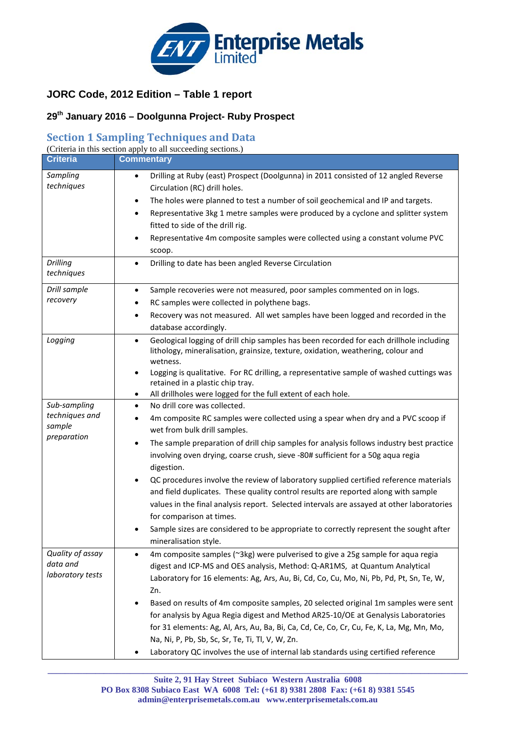

## **JORC Code, 2012 Edition – Table 1 report**

## **29th January 2016 – Doolgunna Project- Ruby Prospect**

## **Section 1 Sampling Techniques and Data**

| <b>Criteria</b>               | (Criteria in this section apply to all succeeding sections.)<br><b>Commentary</b>                                                                                                                                                 |
|-------------------------------|-----------------------------------------------------------------------------------------------------------------------------------------------------------------------------------------------------------------------------------|
|                               |                                                                                                                                                                                                                                   |
| Sampling<br>techniques        | Drilling at Ruby (east) Prospect (Doolgunna) in 2011 consisted of 12 angled Reverse<br>$\bullet$<br>Circulation (RC) drill holes.<br>The holes were planned to test a number of soil geochemical and IP and targets.<br>$\bullet$ |
|                               | Representative 3kg 1 metre samples were produced by a cyclone and splitter system<br>$\bullet$<br>fitted to side of the drill rig.<br>Representative 4m composite samples were collected using a constant volume PVC<br>$\bullet$ |
|                               | scoop.                                                                                                                                                                                                                            |
| <b>Drilling</b><br>techniques | Drilling to date has been angled Reverse Circulation<br>$\bullet$                                                                                                                                                                 |
| Drill sample                  | Sample recoveries were not measured, poor samples commented on in logs.<br>$\bullet$                                                                                                                                              |
| recovery                      | RC samples were collected in polythene bags.<br>٠                                                                                                                                                                                 |
|                               | Recovery was not measured. All wet samples have been logged and recorded in the<br>$\bullet$<br>database accordingly.                                                                                                             |
| Logging                       | Geological logging of drill chip samples has been recorded for each drillhole including<br>$\bullet$<br>lithology, mineralisation, grainsize, texture, oxidation, weathering, colour and<br>wetness.                              |
|                               | Logging is qualitative. For RC drilling, a representative sample of washed cuttings was<br>$\bullet$<br>retained in a plastic chip tray.<br>All drillholes were logged for the full extent of each hole.<br>٠                     |
| Sub-sampling                  | No drill core was collected.<br>$\bullet$                                                                                                                                                                                         |
| techniques and<br>sample      | 4m composite RC samples were collected using a spear when dry and a PVC scoop if<br>٠<br>wet from bulk drill samples.                                                                                                             |
| preparation                   | The sample preparation of drill chip samples for analysis follows industry best practice<br>٠<br>involving oven drying, coarse crush, sieve -80# sufficient for a 50g aqua regia<br>digestion.                                    |
|                               | QC procedures involve the review of laboratory supplied certified reference materials<br>$\bullet$                                                                                                                                |
|                               | and field duplicates. These quality control results are reported along with sample                                                                                                                                                |
|                               | values in the final analysis report. Selected intervals are assayed at other laboratories<br>for comparison at times.                                                                                                             |
|                               | Sample sizes are considered to be appropriate to correctly represent the sought after<br>٠<br>mineralisation style.                                                                                                               |
| Quality of assay              | 4m composite samples (~3kg) were pulverised to give a 25g sample for aqua regia<br>$\bullet$                                                                                                                                      |
| data and                      | digest and ICP-MS and OES analysis, Method: Q-AR1MS, at Quantum Analytical                                                                                                                                                        |
| laboratory tests              | Laboratory for 16 elements: Ag, Ars, Au, Bi, Cd, Co, Cu, Mo, Ni, Pb, Pd, Pt, Sn, Te, W,<br>Zn.                                                                                                                                    |
|                               | Based on results of 4m composite samples, 20 selected original 1m samples were sent                                                                                                                                               |
|                               | for analysis by Agua Regia digest and Method AR25-10/OE at Genalysis Laboratories                                                                                                                                                 |
|                               | for 31 elements: Ag, Al, Ars, Au, Ba, Bi, Ca, Cd, Ce, Co, Cr, Cu, Fe, K, La, Mg, Mn, Mo,                                                                                                                                          |
|                               | Na, Ni, P, Pb, Sb, Sc, Sr, Te, Ti, Tl, V, W, Zn.                                                                                                                                                                                  |
|                               | Laboratory QC involves the use of internal lab standards using certified reference                                                                                                                                                |

**\_\_\_\_\_\_\_\_\_\_\_\_\_\_\_\_\_\_\_\_\_\_\_\_\_\_\_\_\_\_\_\_\_\_\_\_\_\_\_\_\_\_\_\_\_\_\_\_\_\_\_\_\_\_\_\_\_\_\_\_\_\_\_\_\_\_\_\_\_\_\_\_\_\_\_\_\_\_\_\_\_\_\_\_\_\_\_\_\_\_\_\_\_\_\_\_\_**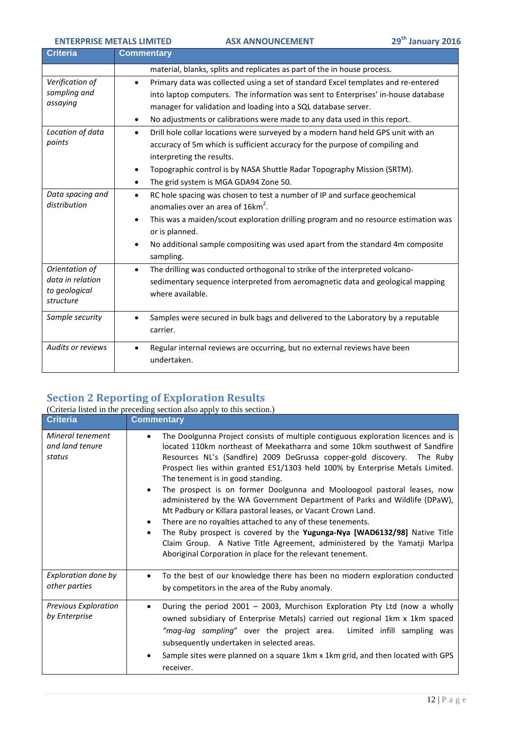| Criteria                                                         | <b>Commentary</b>                                                                                                                                                                                                                                                                                                                                        |
|------------------------------------------------------------------|----------------------------------------------------------------------------------------------------------------------------------------------------------------------------------------------------------------------------------------------------------------------------------------------------------------------------------------------------------|
|                                                                  | material, blanks, splits and replicates as part of the in house process.                                                                                                                                                                                                                                                                                 |
| Verification of<br>sampling and<br>assaying                      | Primary data was collected using a set of standard Excel templates and re-entered<br>$\bullet$<br>into laptop computers. The information was sent to Enterprises' in-house database<br>manager for validation and loading into a SQL database server.<br>No adjustments or calibrations were made to any data used in this report.<br>$\bullet$          |
| Location of data<br>points                                       | Drill hole collar locations were surveyed by a modern hand held GPS unit with an<br>$\bullet$<br>accuracy of 5m which is sufficient accuracy for the purpose of compiling and<br>interpreting the results.<br>Topographic control is by NASA Shuttle Radar Topography Mission (SRTM).<br>$\bullet$<br>The grid system is MGA GDA94 Zone 50.<br>$\bullet$ |
| Data spacing and<br>distribution                                 | RC hole spacing was chosen to test a number of IP and surface geochemical<br>$\bullet$<br>anomalies over an area of 16km <sup>2</sup> .<br>This was a maiden/scout exploration drilling program and no resource estimation was<br>or is planned.<br>No additional sample compositing was used apart from the standard 4m composite<br>sampling.          |
| Orientation of<br>data in relation<br>to geological<br>structure | The drilling was conducted orthogonal to strike of the interpreted volcano-<br>$\bullet$<br>sedimentary sequence interpreted from aeromagnetic data and geological mapping<br>where available.                                                                                                                                                           |
| Sample security                                                  | Samples were secured in bulk bags and delivered to the Laboratory by a reputable<br>carrier.                                                                                                                                                                                                                                                             |
| <b>Audits or reviews</b>                                         | Regular internal reviews are occurring, but no external reviews have been<br>$\bullet$<br>undertaken.                                                                                                                                                                                                                                                    |

# **Section 2 Reporting of Exploration Results**

|                                               | (Criteria listed in the preceding section also apply to this section.)                                                                                                                                                                                                                                                                                                                                                                                                                                                                                                                                                                                                                                                                                                                                                                                                                            |
|-----------------------------------------------|---------------------------------------------------------------------------------------------------------------------------------------------------------------------------------------------------------------------------------------------------------------------------------------------------------------------------------------------------------------------------------------------------------------------------------------------------------------------------------------------------------------------------------------------------------------------------------------------------------------------------------------------------------------------------------------------------------------------------------------------------------------------------------------------------------------------------------------------------------------------------------------------------|
| <b>Criteria</b>                               | <b>Commentary</b>                                                                                                                                                                                                                                                                                                                                                                                                                                                                                                                                                                                                                                                                                                                                                                                                                                                                                 |
| Mineral tenement<br>and land tenure<br>status | The Doolgunna Project consists of multiple contiguous exploration licences and is<br>located 110km northeast of Meekatharra and some 10km southwest of Sandfire<br>Resources NL's (Sandfire) 2009 DeGrussa copper-gold discovery. The Ruby<br>Prospect lies within granted E51/1303 held 100% by Enterprise Metals Limited.<br>The tenement is in good standing.<br>The prospect is on former Doolgunna and Mooloogool pastoral leases, now<br>administered by the WA Government Department of Parks and Wildlife (DPaW),<br>Mt Padbury or Killara pastoral leases, or Vacant Crown Land.<br>There are no royalties attached to any of these tenements.<br>$\bullet$<br>The Ruby prospect is covered by the Yugunga-Nya [WAD6132/98] Native Title<br>٠<br>Claim Group. A Native Title Agreement, administered by the Yamatji Marlpa<br>Aboriginal Corporation in place for the relevant tenement. |
| Exploration done by<br>other parties          | To the best of our knowledge there has been no modern exploration conducted<br>by competitors in the area of the Ruby anomaly.                                                                                                                                                                                                                                                                                                                                                                                                                                                                                                                                                                                                                                                                                                                                                                    |
| <b>Previous Exploration</b><br>by Enterprise  | During the period 2001 - 2003, Murchison Exploration Pty Ltd (now a wholly<br>owned subsidiary of Enterprise Metals) carried out regional 1km x 1km spaced<br>"mag-lag sampling" over the project area. Limited infill sampling was<br>subsequently undertaken in selected areas.<br>Sample sites were planned on a square 1km x 1km grid, and then located with GPS<br>٠<br>receiver.                                                                                                                                                                                                                                                                                                                                                                                                                                                                                                            |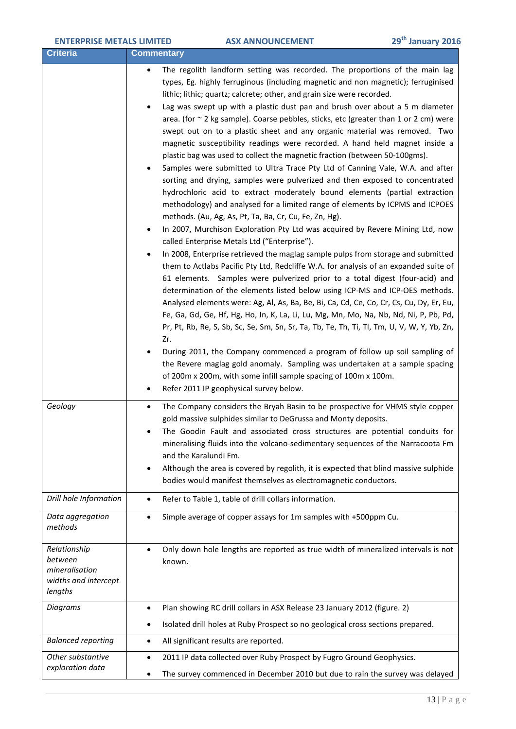Г

| <b>Criteria</b>                                                              | <b>Commentary</b>                                                                                                                                                                                                                                                                                                                                                                                                                                                                                                                                                                                                                                                                                                                                                                                                                                                                                                                                                                                                                                                                                                                                                                                                                                                                                                                                                                                                                                                                                                                                                                                                                                                                                                                                                                                                                                                                                                                                                                                                                                                                                                              |
|------------------------------------------------------------------------------|--------------------------------------------------------------------------------------------------------------------------------------------------------------------------------------------------------------------------------------------------------------------------------------------------------------------------------------------------------------------------------------------------------------------------------------------------------------------------------------------------------------------------------------------------------------------------------------------------------------------------------------------------------------------------------------------------------------------------------------------------------------------------------------------------------------------------------------------------------------------------------------------------------------------------------------------------------------------------------------------------------------------------------------------------------------------------------------------------------------------------------------------------------------------------------------------------------------------------------------------------------------------------------------------------------------------------------------------------------------------------------------------------------------------------------------------------------------------------------------------------------------------------------------------------------------------------------------------------------------------------------------------------------------------------------------------------------------------------------------------------------------------------------------------------------------------------------------------------------------------------------------------------------------------------------------------------------------------------------------------------------------------------------------------------------------------------------------------------------------------------------|
|                                                                              | The regolith landform setting was recorded. The proportions of the main lag<br>types, Eg. highly ferruginous (including magnetic and non magnetic); ferruginised<br>lithic; lithic; quartz; calcrete; other, and grain size were recorded.<br>Lag was swept up with a plastic dust pan and brush over about a 5 m diameter<br>$\bullet$<br>area. (for $\sim$ 2 kg sample). Coarse pebbles, sticks, etc (greater than 1 or 2 cm) were<br>swept out on to a plastic sheet and any organic material was removed. Two<br>magnetic susceptibility readings were recorded. A hand held magnet inside a<br>plastic bag was used to collect the magnetic fraction (between 50-100gms).<br>Samples were submitted to Ultra Trace Pty Ltd of Canning Vale, W.A. and after<br>sorting and drying, samples were pulverized and then exposed to concentrated<br>hydrochloric acid to extract moderately bound elements (partial extraction<br>methodology) and analysed for a limited range of elements by ICPMS and ICPOES<br>methods. (Au, Ag, As, Pt, Ta, Ba, Cr, Cu, Fe, Zn, Hg).<br>In 2007, Murchison Exploration Pty Ltd was acquired by Revere Mining Ltd, now<br>called Enterprise Metals Ltd ("Enterprise").<br>In 2008, Enterprise retrieved the maglag sample pulps from storage and submitted<br>them to Actlabs Pacific Pty Ltd, Redcliffe W.A. for analysis of an expanded suite of<br>61 elements. Samples were pulverized prior to a total digest (four-acid) and<br>determination of the elements listed below using ICP-MS and ICP-OES methods.<br>Analysed elements were: Ag, Al, As, Ba, Be, Bi, Ca, Cd, Ce, Co, Cr, Cs, Cu, Dy, Er, Eu,<br>Fe, Ga, Gd, Ge, Hf, Hg, Ho, In, K, La, Li, Lu, Mg, Mn, Mo, Na, Nb, Nd, Ni, P, Pb, Pd,<br>Pr, Pt, Rb, Re, S, Sb, Sc, Se, Sm, Sn, Sr, Ta, Tb, Te, Th, Ti, Tl, Tm, U, V, W, Y, Yb, Zn,<br>Zr.<br>During 2011, the Company commenced a program of follow up soil sampling of<br>the Revere maglag gold anomaly. Sampling was undertaken at a sample spacing<br>of 200m x 200m, with some infill sample spacing of 100m x 100m.<br>Refer 2011 IP geophysical survey below.<br>٠ |
| Geology                                                                      | The Company considers the Bryah Basin to be prospective for VHMS style copper<br>$\bullet$<br>gold massive sulphides similar to DeGrussa and Monty deposits.<br>The Goodin Fault and associated cross structures are potential conduits for<br>mineralising fluids into the volcano-sedimentary sequences of the Narracoota Fm<br>and the Karalundi Fm.<br>Although the area is covered by regolith, it is expected that blind massive sulphide<br>٠<br>bodies would manifest themselves as electromagnetic conductors.                                                                                                                                                                                                                                                                                                                                                                                                                                                                                                                                                                                                                                                                                                                                                                                                                                                                                                                                                                                                                                                                                                                                                                                                                                                                                                                                                                                                                                                                                                                                                                                                        |
| Drill hole Information                                                       | Refer to Table 1, table of drill collars information.<br>$\bullet$                                                                                                                                                                                                                                                                                                                                                                                                                                                                                                                                                                                                                                                                                                                                                                                                                                                                                                                                                                                                                                                                                                                                                                                                                                                                                                                                                                                                                                                                                                                                                                                                                                                                                                                                                                                                                                                                                                                                                                                                                                                             |
| Data aggregation<br>methods                                                  | Simple average of copper assays for 1m samples with +500ppm Cu.<br>$\bullet$                                                                                                                                                                                                                                                                                                                                                                                                                                                                                                                                                                                                                                                                                                                                                                                                                                                                                                                                                                                                                                                                                                                                                                                                                                                                                                                                                                                                                                                                                                                                                                                                                                                                                                                                                                                                                                                                                                                                                                                                                                                   |
| Relationship<br>between<br>mineralisation<br>widths and intercept<br>lengths | Only down hole lengths are reported as true width of mineralized intervals is not<br>known.                                                                                                                                                                                                                                                                                                                                                                                                                                                                                                                                                                                                                                                                                                                                                                                                                                                                                                                                                                                                                                                                                                                                                                                                                                                                                                                                                                                                                                                                                                                                                                                                                                                                                                                                                                                                                                                                                                                                                                                                                                    |
| <b>Diagrams</b>                                                              | Plan showing RC drill collars in ASX Release 23 January 2012 (figure. 2)<br>$\bullet$                                                                                                                                                                                                                                                                                                                                                                                                                                                                                                                                                                                                                                                                                                                                                                                                                                                                                                                                                                                                                                                                                                                                                                                                                                                                                                                                                                                                                                                                                                                                                                                                                                                                                                                                                                                                                                                                                                                                                                                                                                          |
|                                                                              | Isolated drill holes at Ruby Prospect so no geological cross sections prepared.<br>٠                                                                                                                                                                                                                                                                                                                                                                                                                                                                                                                                                                                                                                                                                                                                                                                                                                                                                                                                                                                                                                                                                                                                                                                                                                                                                                                                                                                                                                                                                                                                                                                                                                                                                                                                                                                                                                                                                                                                                                                                                                           |
| <b>Balanced reporting</b>                                                    | All significant results are reported.<br>$\bullet$                                                                                                                                                                                                                                                                                                                                                                                                                                                                                                                                                                                                                                                                                                                                                                                                                                                                                                                                                                                                                                                                                                                                                                                                                                                                                                                                                                                                                                                                                                                                                                                                                                                                                                                                                                                                                                                                                                                                                                                                                                                                             |
| Other substantive<br>exploration data                                        | 2011 IP data collected over Ruby Prospect by Fugro Ground Geophysics.<br>$\bullet$<br>The survey commenced in December 2010 but due to rain the survey was delayed<br>٠                                                                                                                                                                                                                                                                                                                                                                                                                                                                                                                                                                                                                                                                                                                                                                                                                                                                                                                                                                                                                                                                                                                                                                                                                                                                                                                                                                                                                                                                                                                                                                                                                                                                                                                                                                                                                                                                                                                                                        |